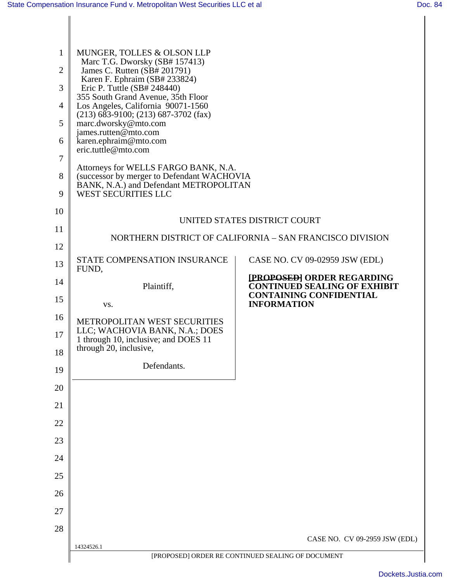Ι

| 8<br>9<br>10<br>11<br>12 | eric.tuttle@mto.com<br>Attorneys for WELLS FARGO BANK, N.A.<br>(successor by merger to Defendant WACHOVIA<br>BANK, N.A.) and Defendant METROPOLITAN<br><b>WEST SECURITIES LLC</b><br>UNITED STATES DISTRICT COURT<br>NORTHERN DISTRICT OF CALIFORNIA - SAN FRANCISCO DIVISION<br>STATE COMPENSATION INSURANCE<br>CASE NO. CV 09-02959 JSW (EDL) |                                                                                                     |  |
|--------------------------|-------------------------------------------------------------------------------------------------------------------------------------------------------------------------------------------------------------------------------------------------------------------------------------------------------------------------------------------------|-----------------------------------------------------------------------------------------------------|--|
| 13<br>14                 | FUND,<br>Plaintiff,                                                                                                                                                                                                                                                                                                                             | [PROPOSED] ORDER REGARDING<br><b>CONTINUED SEALING OF EXHIBIT</b><br><b>CONTAINING CONFIDENTIAL</b> |  |
| 15                       | VS.                                                                                                                                                                                                                                                                                                                                             | <b>INFORMATION</b>                                                                                  |  |
| 16<br>17                 | METROPOLITAN WEST SECURITIES<br>LLC; WACHOVIA BANK, N.A.; DOES<br>1 through 10, inclusive; and DOES 11                                                                                                                                                                                                                                          |                                                                                                     |  |
| 18                       | through 20, inclusive,                                                                                                                                                                                                                                                                                                                          |                                                                                                     |  |
| 19                       | Defendants.                                                                                                                                                                                                                                                                                                                                     |                                                                                                     |  |
| 20                       |                                                                                                                                                                                                                                                                                                                                                 |                                                                                                     |  |
| 21                       |                                                                                                                                                                                                                                                                                                                                                 |                                                                                                     |  |
| 22                       |                                                                                                                                                                                                                                                                                                                                                 |                                                                                                     |  |
| 23                       |                                                                                                                                                                                                                                                                                                                                                 |                                                                                                     |  |
| 24                       |                                                                                                                                                                                                                                                                                                                                                 |                                                                                                     |  |
| 25                       |                                                                                                                                                                                                                                                                                                                                                 |                                                                                                     |  |
| 26                       |                                                                                                                                                                                                                                                                                                                                                 |                                                                                                     |  |
| 27                       |                                                                                                                                                                                                                                                                                                                                                 |                                                                                                     |  |
| 28                       |                                                                                                                                                                                                                                                                                                                                                 |                                                                                                     |  |